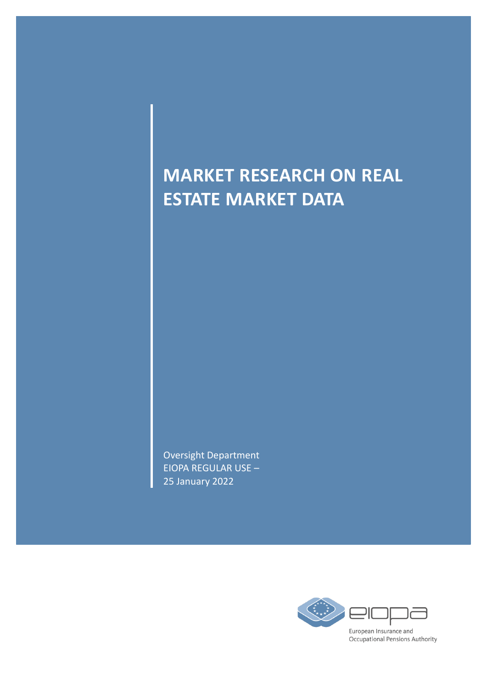## **MARKET RESEARCH ON REAL ESTATE MARKET DATA**

Oversight Department EIOPA REGULAR USE – 25 January 2022

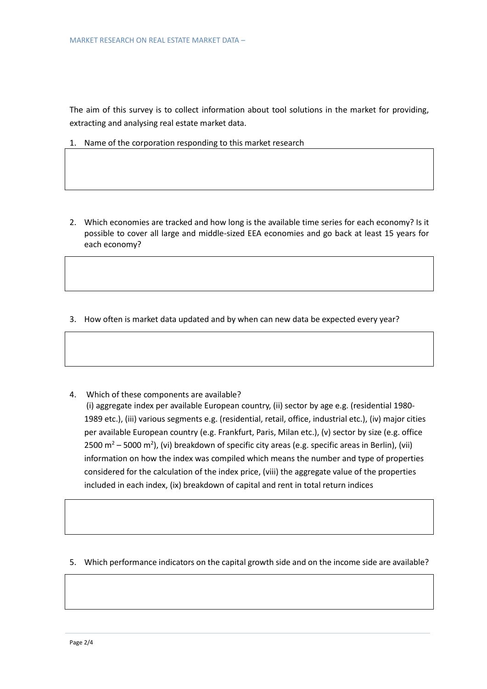The aim of this survey is to collect information about tool solutions in the market for providing, extracting and analysing real estate market data.

1. Name of the corporation responding to this market research

- 2. Which economies are tracked and how long is the available time series for each economy? Is it possible to cover all large and middle-sized EEA economies and go back at least 15 years for each economy?
- 3. How often is market data updated and by when can new data be expected every year?
- 4. Which of these components are available? (i) aggregate index per available European country, (ii) sector by age e.g. (residential 1980- 1989 etc.), (iii) various segments e.g. (residential, retail, office, industrial etc.), (iv) major cities per available European country (e.g. Frankfurt, Paris, Milan etc.), (v) sector by size (e.g. office 2500 m<sup>2</sup> – 5000 m<sup>2</sup>), (vi) breakdown of specific city areas (e.g. specific areas in Berlin), (vii) information on how the index was compiled which means the number and type of properties considered for the calculation of the index price, (viii) the aggregate value of the properties included in each index, (ix) breakdown of capital and rent in total return indices
- 5. Which performance indicators on the capital growth side and on the income side are available?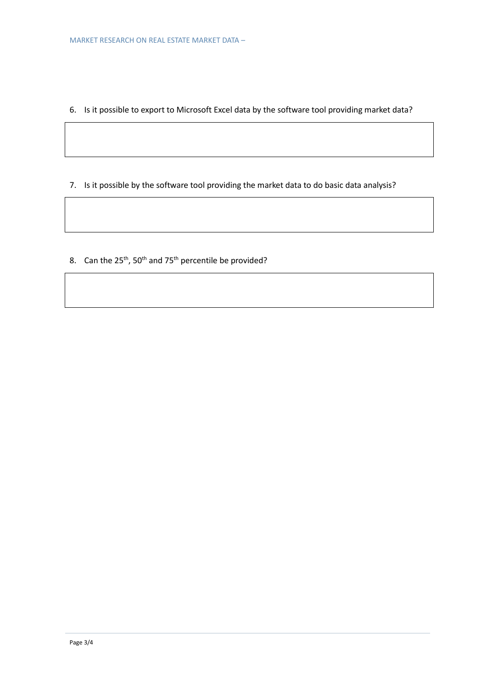- 6. Is it possible to export to Microsoft Excel data by the software tool providing market data?
- 7. Is it possible by the software tool providing the market data to do basic data analysis?
- 8. Can the 25<sup>th</sup>, 50<sup>th</sup> and 75<sup>th</sup> percentile be provided?